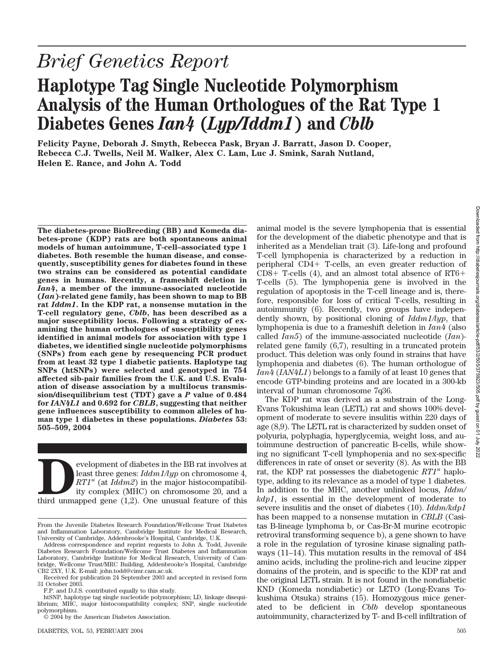# *Brief Genetics Report*

## **Haplotype Tag Single Nucleotide Polymorphism Analysis of the Human Orthologues of the Rat Type 1 Diabetes Genes** *Ian4* **(***Lyp/Iddm1***) and** *Cblb*

**Felicity Payne, Deborah J. Smyth, Rebecca Pask, Bryan J. Barratt, Jason D. Cooper, Rebecca C.J. Twells, Neil M. Walker, Alex C. Lam, Luc J. Smink, Sarah Nutland, Helen E. Rance, and John A. Todd**

**The diabetes-prone BioBreeding (BB) and Komeda diabetes-prone (KDP) rats are both spontaneous animal models of human autoimmune, T-cell–associated type 1 diabetes. Both resemble the human disease, and consequently, susceptibility genes for diabetes found in these two strains can be considered as potential candidate genes in humans. Recently, a frameshift deletion in** *Ian4***, a member of the immune-associated nucleotide (***Ian***)-related gene family, has been shown to map to BB rat** *Iddm1***. In the KDP rat, a nonsense mutation in the T-cell regulatory gene,** *Cblb***, has been described as a major susceptibility locus. Following a strategy of examining the human orthologues of susceptibility genes identified in animal models for association with type 1 diabetes, we identified single nucleotide polymorphisms (SNPs) from each gene by resequencing PCR product from at least 32 type 1 diabetic patients. Haplotype tag SNPs (htSNPs) were selected and genotyped in 754 affected sib-pair families from the U.K. and U.S. Evaluation of disease association by a multilocus transmission/disequilibrium test (TDT) gave a** *P* **value of 0.484 for** *IAN4L1* **and 0.692 for** *CBLB***, suggesting that neither gene influences susceptibility to common alleles of human type 1 diabetes in these populations.** *Diabetes* **53: 505–509, 2004**

evelopment of diabetes in the BB rat involves at<br>least three genes: *Iddm1/lyp* on chromosome 4,<br>RT1<sup>u</sup> (at *Iddm2*) in the major histocompatibil-<br>ity complex (MHC) on chromosome 20, and a<br>third unmapped gene (1,2). One un least three genes: *Iddm1/lyp* on chromosome 4,  $RT1<sup>u</sup>$  (at *Iddm2*) in the major histocompatibility complex (MHC) on chromosome 20, and a animal model is the severe lymphopenia that is essential for the development of the diabetic phenotype and that is inherited as a Mendelian trait (3). Life-long and profound T-cell lymphopenia is characterized by a reduction in peripheral CD4+ T-cells, an even greater reduction of  $CD8+$  T-cells (4), and an almost total absence of RT6+ T-cells (5). The lymphopenia gene is involved in the regulation of apoptosis in the T-cell lineage and is, therefore, responsible for loss of critical T-cells, resulting in autoimmunity (6). Recently, two groups have independently shown, by positional cloning of *Iddm1/lyp*, that lymphopenia is due to a frameshift deletion in *Ian4* (also called *Ian5*) of the immune-associated nucleotide (*Ian*) related gene family (6,7), resulting in a truncated protein product. This deletion was only found in strains that have lymphopenia and diabetes (6). The human orthologue of *Ian4* (*IAN4L1*) belongs to a family of at least 10 genes that encode GTP-binding proteins and are located in a 300-kb interval of human chromosome 7q36.

The KDP rat was derived as a substrain of the Long-Evans Tokushima lean (LETL) rat and shows 100% development of moderate to severe insulitis within 220 days of age (8,9). The LETL rat is characterized by sudden onset of polyuria, polyphagia, hyperglycemia, weight loss, and autoimmune destruction of pancreatic B-cells, while showing no significant T-cell lymphopenia and no sex-specific differences in rate of onset or severity (8). As with the BB rat, the KDP rat possesses the diabetogenic  $RT1^u$  haplotype, adding to its relevance as a model of type 1 diabetes. In addition to the MHC, another unlinked locus, *Iddm/ kdp1*, is essential in the development of moderate to severe insulitis and the onset of diabetes (10). *Iddm/kdp1* has been mapped to a nonsense mutation in *CBLB* (Casitas B-lineage lymphoma b, or Cas-Br-M murine ecotropic retroviral transforming sequence b), a gene shown to have a role in the regulation of tyrosine kinase signaling pathways (11–14). This mutation results in the removal of 484 amino acids, including the proline-rich and leucine zipper domains of the protein, and is specific to the KDP rat and the original LETL strain. It is not found in the nondiabetic KND (Komeda nondiabetic) or LETO (Long-Evans Tokushima Otsuka) strains (15). Homozygous mice generated to be deficient in *Cblb* develop spontaneous autoimmunity, characterized by T- and B-cell infiltration of

From the Juvenile Diabetes Research Foundation/Wellcome Trust Diabetes and Inflammation Laboratory, Cambridge Institute for Medical Research, University of Cambridge, Addenbrooke's Hospital, Cambridge, U.K.

Address correspondence and reprint requests to John A. Todd, Juvenile Diabetes Research Foundation/Wellcome Trust Diabetes and Inflammation Laboratory, Cambridge Institute for Medical Research, University of Cambridge, Wellcome Trust/MRC Building, Addenbrooke's Hospital, Cambridge CB2 2XY, U.K. E-mail: john.todd@cimr.cam.ac.uk.

Received for publication 24 September 2003 and accepted in revised form 31 October 2003.

F.P. and D.J.S. contributed equally to this study.

htSNP, haplotype tag single nucleotide polymorphism; LD, linkage disequilibrium; MHC, major histocompatibility complex; SNP, single nucleotide polymorphism.

<sup>© 2004</sup> by the American Diabetes Association.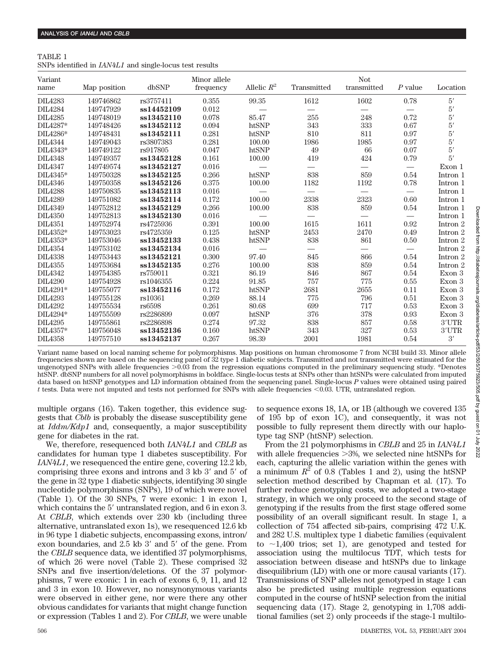### TABLE 1 SNPs identified in *IAN4L1* and single-locus test results

| Variant<br>name | Map position | dbSNP      | Minor allele<br>frequency | Allelic $R^2$ | Transmitted | <b>Not</b><br>$transmitted$ | $P$ value | Location     |
|-----------------|--------------|------------|---------------------------|---------------|-------------|-----------------------------|-----------|--------------|
| <b>DIL4283</b>  | 149746862    | rs3757411  | 0.355                     | 99.35         | 1612        | 1602                        | 0.78      | 5'           |
| <b>DIL4284</b>  | 149747929    | ss14452109 | 0.012                     |               |             |                             |           | $5^{\prime}$ |
| <b>DIL4285</b>  | 149748019    | ss13452110 | 0.078                     | 85.47         | 255         | 248                         | 0.72      | $5^{\prime}$ |
| DIL4287*        | 149748426    | ss13452112 | 0.094                     | htSNP         | 343         | 333                         | 0.67      | $5^{\prime}$ |
| DIL4286*        | 149748431    | ss13452111 | 0.281                     | htSNP         | 810         | 811                         | 0.97      | 5'           |
| <b>DIL4344</b>  | 149749043    | rs3807383  | 0.281                     | 100.00        | 1986        | 1985                        | 0.97      | $5^{\prime}$ |
| DIL4343*        | 149749122    | rs917805   | 0.047                     | htSNP         | 49          | 66                          | 0.07      | $5^{\prime}$ |
| <b>DIL4348</b>  | 149749357    | ss13452128 | 0.161                     | 100.00        | 419         | 424                         | 0.79      | 5'           |
| <b>DIL4347</b>  | 149749574    | ss13452127 | 0.016                     |               |             |                             |           | Exon 1       |
| DIL4345*        | 149750328    | ss13452125 | 0.266                     | htSNP         | 838         | 859                         | 0.54      | Intron 1     |
| <b>DIL4346</b>  | 149750358    | ss13452126 | 0.375                     | 100.00        | 1182        | 1192                        | 0.78      | Intron 1     |
| <b>DIL4288</b>  | 149750835    | ss13452113 | 0.016                     |               |             |                             |           | Intron 1     |
| DIL4289         | 149751082    | ss13452114 | 0.172                     | 100.00        | 2338        | 2323                        | 0.60      | Intron 1     |
| <b>DIL4349</b>  | 149752812    | ss13452129 | 0.266                     | 100.00        | 838         | 859                         | 0.54      | Intron 1     |
| <b>DIL4350</b>  | 149752813    | ss13452130 | 0.016                     |               |             |                             |           | Intron 1     |
| <b>DIL4351</b>  | 149752974    | rs4725936  | 0.391                     | 100.00        | 1615        | 1611                        | 0.92      | Intron 2     |
| DIL4352*        | 149753023    | rs4725359  | 0.125                     | htSNP         | 2453        | 2470                        | 0.49      | Intron 2     |
| DIL4353*        | 149753046    | ss13452133 | 0.438                     | htSNP         | 838         | 861                         | 0.50      | Intron 2     |
| <b>DIL4354</b>  | 149753102    | ss13452134 | 0.016                     |               |             |                             |           | Intron 2     |
| <b>DIL4338</b>  | 149753443    | ss13452121 | 0.300                     | 97.40         | 845         | 866                         | 0.54      | Intron 2     |
| <b>DIL4355</b>  | 149753684    | ss13452135 | 0.276                     | 100.00        | 838         | 859                         | 0.54      | Intron 2     |
| <b>DIL4342</b>  | 149754385    | rs759011   | 0.321                     | 86.19         | 846         | 867                         | 0.54      | Exon 3       |
| <b>DIL4290</b>  | 149754928    | rs1046355  | 0.224                     | 91.85         | 757         | 775                         | 0.55      | Exon 3       |
| DIL4291*        | 149755077    | ss13452116 | 0.172                     | htSNP         | 2681        | 2655                        | 0.11      | Exon 3       |
| <b>DIL4293</b>  | 149755128    | rs10361    | 0.269                     | 88.14         | 775         | 796                         | 0.51      | Exon 3       |
| DIL4292         | 149755534    | rs6598     | 0.261                     | 80.68         | 699         | 717                         | 0.53      | Exon 3       |
| DIL4294*        | 149755599    | rs2286899  | 0.097                     | htSNP         | 376         | 378                         | 0.93      | Exon 3       |
| DIL4295         | 149755861    | rs2286898  | 0.274                     | 97.32         | 838         | 857                         | 0.58      | 3'UTR        |
| DIL4357*        | 149756048    | ss13452136 | 0.160                     | htSNP         | 343         | 327                         | 0.53      | 3'UTR        |
| <b>DIL4358</b>  | 149757510    | ss13452137 | 0.267                     | 98.39         | 2001        | 1981                        | 0.54      | 3'           |

Variant name based on local naming scheme for polymorphisms. Map positions on human chromosome 7 from NCBI build 33. Minor allele frequencies shown are based on the sequencing panel of 32 type 1 diabetic subjects. Transmitted and not transmitted were estimated for the ungenotyped SNPs with allele frequencies  $> 0.03$  from the regression equations computed in the preliminary sequencing study. \*Denotes htSNP. dbSNP numbers for all novel polymorphisms in boldface. Single-locus tests at SNPs other than htSNPs were calculated from imputed data based on htSNP genotypes and LD information obtained from the sequencing panel. Single-locus *P* values were obtained using paired *t* tests. Data were not imputed and tests not performed for SNPs with allele frequencies <0.03. UTR, untranslated region.

multiple organs (16). Taken together, this evidence suggests that *Cblb* is probably the disease susceptibility gene at *Iddm/Kdp1* and, consequently, a major susceptibility gene for diabetes in the rat.

We, therefore, resequenced both *IAN4L1* and *CBLB* as candidates for human type 1 diabetes susceptibility. For *IAN4L1*, we resequenced the entire gene, covering 12.2 kb, comprising three exons and introns and 3 kb 3' and 5' of the gene in 32 type 1 diabetic subjects, identifying 30 single nucleotide polymorphisms (SNPs), 19 of which were novel (Table 1). Of the 30 SNPs, 7 were exonic: 1 in exon 1, which contains the 5' untranslated region, and 6 in exon 3. At *CBLB*, which extends over 230 kb (including three alternative, untranslated exon 1s), we resequenced 12.6 kb in 96 type 1 diabetic subjects, encompassing exons, intron/ exon boundaries, and 2.5 kb 3' and 5' of the gene. From the *CBLB* sequence data, we identified 37 polymorphisms, of which 26 were novel (Table 2). These comprised 32 SNPs and five insertion/deletions. Of the 37 polymorphisms, 7 were exonic: 1 in each of exons 6, 9, 11, and 12 and 3 in exon 10. However, no nonsynonymous variants were observed in either gene, nor were there any other obvious candidates for variants that might change function or expression (Tables 1 and 2). For *CBLB*, we were unable to sequence exons 18, 1A, or 1B (although we covered 135 of 195 bp of exon 1C), and consequently, it was not possible to fully represent them directly with our haplotype tag SNP (htSNP) selection.

From the 21 polymorphisms in *CBLB* and 25 in *IAN4L1* with allele frequencies  $>3\%$ , we selected nine htSNPs for each, capturing the allelic variation within the genes with a minimum  $R^2$  of 0.8 (Tables 1 and 2), using the htSNP selection method described by Chapman et al. (17). To further reduce genotyping costs, we adopted a two-stage strategy, in which we only proceed to the second stage of genotyping if the results from the first stage offered some possibility of an overall significant result. In stage 1, a collection of 754 affected sib-pairs, comprising 472 U.K. and 282 U.S. multiplex type 1 diabetic families (equivalent to  $\sim$ 1,400 trios; set 1), are genotyped and tested for association using the multilocus TDT, which tests for association between disease and htSNPs due to linkage disequilibrium (LD) with one or more causal variants (17). Transmissions of SNP alleles not genotyped in stage 1 can also be predicted using multiple regression equations computed in the course of htSNP selection from the initial sequencing data (17). Stage 2, genotyping in 1,708 additional families (set 2) only proceeds if the stage-1 multilo-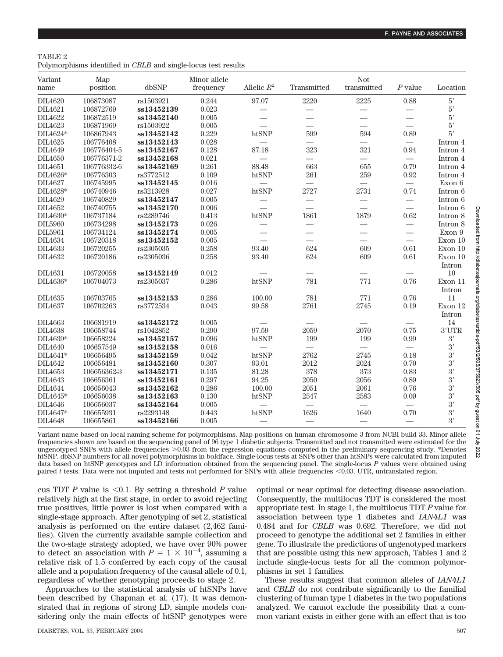| TABLE 2                                                        |  |  |  |  |
|----------------------------------------------------------------|--|--|--|--|
| Polymorphisms identified in CBLB and single-locus test results |  |  |  |  |

| Variant                | Map         |            | Minor allele |                 |                                  | Not                      |                                  |                   |
|------------------------|-------------|------------|--------------|-----------------|----------------------------------|--------------------------|----------------------------------|-------------------|
| name                   | position    | dbSNP      | frequency    | Allelic $R^2$   | Transmitted                      | transmitted              | $P$ value                        | Location          |
| DIL4620                | 106873087   | rs1503921  | 0.244        | 97.07           | 2220                             | 2225                     | 0.88                             | $5^{\prime}$      |
| <b>DIL4621</b>         | 106872769   | ss13452139 | 0.023        |                 |                                  |                          |                                  | $5^{\prime}$      |
| <b>DIL4622</b>         | 106872519   | ss13452140 | 0.005        |                 |                                  | $\overline{\phantom{0}}$ |                                  | 5'                |
| <b>DIL4623</b>         | 106871969   | rs1503922  | 0.005        |                 | $\overline{\phantom{0}}$         | $\frac{1}{1}$            | $\overline{\phantom{0}}$         | $5'$              |
| DIL4624*               | 106867943   | ss13452142 | 0.229        | htSNP           | 599                              | 594                      | 0.89                             | 5'                |
| <b>DIL4625</b>         | 106776408   | ss13452143 | 0.028        |                 |                                  |                          |                                  | Intron 4          |
| <b>DIL4649</b>         | 106776404-5 | ss13452167 | 0.128        | 87.18           | 323                              | 321                      | 0.94                             | Intron 4          |
| DIL4650                | 106776371-2 | ss13452168 | 0.021        |                 |                                  | $\overline{\phantom{0}}$ |                                  | Intron 4          |
| <b>DIL4651</b>         | 106776332-6 | ss13452169 | 0.261        | 88.48           | 663                              | 655                      | 0.79                             | Intron 4          |
| DIL4626*               | 106776303   | rs3772512  | 0.109        | htSNP           | 261                              | 259                      | 0.92                             | Intron 4          |
| <b>DIL4627</b>         | 106745995   | ss13452145 | 0.016        |                 |                                  |                          |                                  | Exon 6            |
| DIL4628*               | 106740946   | rs3213928  | 0.027        | htSNP           | 2727                             | 2731                     | 0.74                             | Intron 6          |
| DIL4629                | 106740829   | ss13452147 | 0.005        |                 |                                  |                          |                                  | Intron 6          |
| DIL4652                | 106740755   | ss13452170 | 0.006        | $\qquad \qquad$ |                                  |                          | $\overline{\phantom{0}}$         | Intron 6          |
| $\mathrm{DIL4630^{*}}$ | 106737184   | rs2289746  | 0.413        | htSNP           | 1861                             | 1879                     | 0.62                             | Intron 8          |
| DIL5960                | 106734298   | ss13452173 | 0.026        |                 | $\overbrace{\phantom{aaaaa}}$    |                          |                                  | Intron 8          |
| <b>DIL5961</b>         | 106734124   | ss13452174 | 0.005        | $\qquad \qquad$ |                                  | $\overline{\phantom{0}}$ | $\overline{\phantom{0}}$         | Exon 9            |
| <b>DIL4634</b>         | 106720318   | ss13452152 | 0.005        |                 | $\overline{\phantom{0}}$         |                          | $\equiv$                         | Exon 10           |
| <b>DIL4633</b>         | 106720255   | rs2305035  | 0.258        | 93.40           | 624                              | 609                      | 0.61                             | Exon 10           |
| DIL4632                | 106720186   | rs2305036  | 0.258        | 93.40           | 624                              | 609                      | 0.61                             | Exon 10           |
|                        |             |            |              |                 |                                  |                          |                                  | Intron            |
| <b>DIL4631</b>         | 106720058   | ss13452149 | 0.012        |                 |                                  |                          |                                  | 10                |
| DIL4636*               | 106704073   | rs2305037  | 0.286        | htSNP           | 781                              | 771                      | 0.76                             | Exon 11           |
|                        |             |            |              |                 |                                  |                          |                                  | Intron            |
| <b>DIL4635</b>         | 106703765   | ss13452153 | 0.286        | 100.00          | 781                              | 771                      | 0.76                             | 11                |
| <b>DIL4637</b>         | 106702263   | rs3772534  | 0.043        | 99.58           | 2761                             | 2745                     | 0.19                             | Exon 12           |
|                        |             |            |              |                 |                                  |                          |                                  | Intron            |
| <b>DIL4663</b>         | 106681919   | ss13452172 | 0.005        |                 |                                  |                          |                                  | 14                |
| <b>DIL4638</b>         | 106658744   | rs1042852  | 0.290        | 97.59           | 2059                             | 2070                     | 0.75                             | $3' \mathrm{UTR}$ |
| $\rm DIL4639^{*}$      | 106658224   | ss13452157 | $\,0.096\,$  | htSNP           | 199                              | 199                      | 0.99                             | $3^{\prime}$      |
| <b>DIL4640</b>         | 106657549   | ss13452158 | 0.016        |                 | $\overline{\phantom{0}}$         |                          | $\overbrace{\phantom{12322111}}$ | 3'                |
| DIL4641*               | 106656495   | ss13452159 | 0.042        | htSNP           | 2762                             | 2745                     | 0.18                             | 3'                |
| <b>DIL4642</b>         | 106656481   | ss13452160 | 0.307        | 93.01           | 2012                             | 2024                     | 0.70                             | $\overline{3}$    |
| <b>DIL4653</b>         | 106656362-3 | ss13452171 | 0.135        | 81.28           | 378                              | 373                      | 0.83                             | 3'                |
| <b>DIL4643</b>         | 106656361   | ss13452161 | 0.297        | 94.25           | 2050                             | 2056                     | 0.89                             | 3'                |
| <b>DIL4644</b>         | 106656043   | ss13452162 | 0.286        | 100.00          | 2051                             | 2061                     | 0.76                             | $\frac{3}{3}$     |
| DIL4645*               | 106656038   | ss13452163 | 0.130        | htSNP           | 2547                             | 2583                     | 0.09                             |                   |
| <b>DIL4646</b>         | 106656037   | ss13452164 | 0.005        |                 | $\overbrace{\phantom{12322111}}$ |                          |                                  | 3'                |
| DIL4647*               | 106655931   | rs2293148  | 0.443        | htSNP           | 1626                             | 1640                     | 0.70                             | 3'                |
| <b>DIL4648</b>         | 106655861   | ss13452166 | 0.005        |                 |                                  |                          |                                  | 3'                |
|                        |             |            |              |                 |                                  |                          |                                  |                   |

Variant name based on local naming scheme for polymorphisms. Map positions on human chromosome 3 from NCBI build 33. Minor allele frequencies shown are based on the sequencing panel of 96 type 1 diabetic subjects. Transmitted and not transmitted were estimated for the ungenotyped SNPs with allele frequencies  $>0.03$  from the regression equations computed in the preliminary sequencing study. \*Denotes htSNP. dbSNP numbers for all novel polymorphisms in boldface. Single-locus tests at SNPs other than htSNPs were calculated from imputed data based on htSNP genotypes and LD information obtained from the sequencing panel. The single-locus *P* values were obtained using paired *t* tests. Data were not imputed and tests not performed for SNPs with allele frequencies <0.03. UTR, untranslated region.

cus TDT *P* value is  $\leq 0.1$ . By setting a threshold *P* value relatively high at the first stage, in order to avoid rejecting true positives, little power is lost when compared with a single-stage approach. After genotyping of set 2, statistical analysis is performed on the entire dataset (2,462 families). Given the currently available sample collection and the two-stage strategy adopted, we have over 90% power to detect an association with  $P = 1 \times 10^{-4}$ , assuming a relative risk of 1.5 conferred by each copy of the causal allele and a population frequency of the causal allele of 0.1, regardless of whether genotyping proceeds to stage 2.

Approaches to the statistical analysis of htSNPs have been described by Chapman et al. (17). It was demonstrated that in regions of strong LD, simple models considering only the main effects of htSNP genotypes were optimal or near optimal for detecting disease association. Consequently, the multilocus TDT is considered the most appropriate test. In stage 1, the multilocus TDT *P* value for association between type 1 diabetes and *IAN4L1* was 0.484 and for *CBLB* was 0.692. Therefore, we did not proceed to genotype the additional set 2 families in either gene. To illustrate the predictions of ungenotyped markers that are possible using this new approach, Tables 1 and 2 include single-locus tests for all the common polymorphisms in set 1 families.

These results suggest that common alleles of *IAN4L1* and *CBLB* do not contribute significantly to the familial clustering of human type 1 diabetes in the two populations analyzed. We cannot exclude the possibility that a common variant exists in either gene with an effect that is too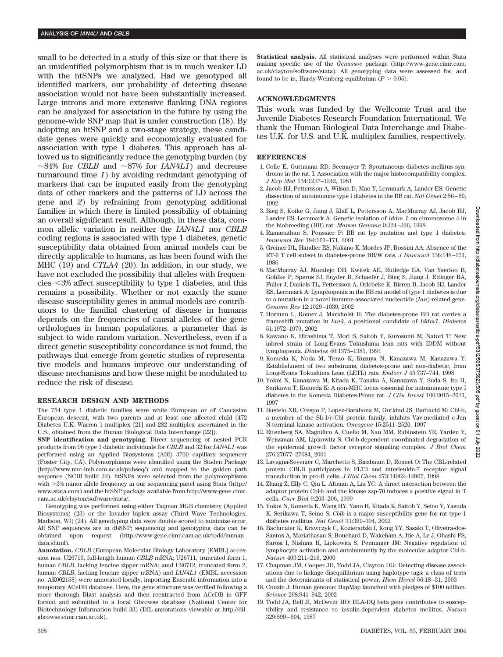small to be detected in a study of this size or that there is an unidentified polymorphism that is in much weaker LD with the htSNPs we analyzed. Had we genotyped all identified markers, our probability of detecting disease association would not have been substantially increased. Large introns and more extensive flanking DNA regions can be analyzed for association in the future by using the genome-wide SNP map that is under construction (18). By adopting an htSNP and a two-stage strategy, these candidate genes were quickly and economically evaluated for association with type 1 diabetes. This approach has allowed us to significantly reduce the genotyping burden (by  $\sim$ 84% for *CBLB* and  $\sim$ 87% for *IAN4L1*) and decrease turnaround time *1*) by avoiding redundant genotyping of markers that can be imputed easily from the genotyping data of other markers and the patterns of LD across the gene and *2*) by refraining from genotyping additional families in which there is limited possibility of obtaining an overall significant result. Although, in these data, common allelic variation in neither the *IAN4L1* nor *CBLB* coding regions is associated with type 1 diabetes, genetic susceptibility data obtained from animal models can be directly applicable to humans, as has been found with the MHC (19) and *CTLA4* (20). In addition, in our study, we have not excluded the possibility that alleles with frequencies 3% affect susceptibility to type 1 diabetes, and this remains a possibility. Whether or not exactly the same disease susceptibility genes in animal models are contributors to the familial clustering of disease in humans depends on the frequencies of causal alleles of the gene orthologues in human populations, a parameter that is subject to wide random variation. Nevertheless, even if a direct genetic susceptibility concordance is not found, the pathways that emerge from genetic studies of representative models and humans improve our understanding of disease mechanisms and how these might be modulated to reduce the risk of disease.

#### **RESEARCH DESIGN AND METHODS**

The 754 type 1 diabetic families were white European or of Caucasian European descent, with two parents and at least one affected child (472 Diabetes U.K. Warren 1 multiplex [21] and 282 multiplex ascertained in the U.S., obtained from the Human Biological Data Interchange [22]).

**SNP identification and genotyping.** Direct sequencing of nested PCR products from 96 type 1 diabetic individuals for *CBLB* and 32 for *IAN4L1* was performed using an Applied Biosystems (ABI) 3700 capillary sequencer (Foster City, CA). Polymorphisms were identified using the Staden Package (http://www.mrc-lmb.cam.ac.uk/pubseq/) and mapped to the golden path sequence (NCBI build 33). htSNPs were selected from the polymorphisms with 3% minor allele frequency in our sequencing panel using Stata (http:// www.stata.com) and the htSNP package available from http://www-gene.cimr. cam.ac.uk/clayton/software/stata/.

Genotyping was performed using either Taqman MGB chemistry (Applied Biosystems) (23) or the Invader biplex assay (Third Wave Technologies, Madison, WI) (24). All genotyping data were double scored to minimize error. All SNP sequences are in dbSNP; sequencing and genotyping data can be obtained upon request (http://www-gene.cimr.cam.ac.uk/todd/human\_ data.shtml).

**Annotation.** *CBLB* (European Molecular Biology Laboratory [EMBL] accession nos. U26710, full-length human *CBLB* mRNA; U26711, truncated form 1, human *CBLB*, lacking leucine zipper mRNA; amd U26712, truncated form 2, human *CBLB*, lacking leucine zipper mRNA) and *IAN4L1* (EMBL accession no. AK002158) were annotated locally, importing Ensembl information into a temporary ACeDB database. Here, the gene structure was verified following a more thorough Blast analysis and then reextracted from ACeDB in GFF format and submitted to a local Gbrowse database (National Center for Biotechnology Information build 33) (DIL annotations viewable at http://dilgbrowse.cimr.cam.ac.uk).

**Statistical analysis.** All statistical analyses were performed within Stata making specific use of the *Genassoc* package (http://www-gene.cimr.cam. ac.uk/clayton/software/stata). All genotyping data were assessed for, and found to be in, Hardy-Weinberg equilibrium  $(P > 0.05)$ .

#### **ACKNOWLEDGMENTS**

This work was funded by the Wellcome Trust and the Juvenile Diabetes Research Foundation International. We thank the Human Biological Data Interchange and Diabetes U.K. for U.S. and U.K. multiplex families, respectively.

#### **REFERENCES**

- 1. Colle E, Guttmann RD, Seemayer T: Spontaneous diabetes mellitus syndrome in the rat. I. Association with the major histocompatibility complex. *J Exp Med* 154:1237–1242, 1981
- 2. Jacob HJ, Pettersson A, Wilson D, Mao Y, Lernmark A, Lander ES: Genetic dissection of autoimmune type I diabetes in the BB rat. *Nat Genet* 2:56–60, 1992
- 3. Bieg S, Koike G, Jiang J, Klaff L, Pettersson A, MacMurray AJ, Jacob HJ, Lander ES, Lernmark A: Genetic isolation of *iddm 1* on chromosome 4 in the biobreeding (BB) rat. *Mamm Genome* 9:324–326, 1998
- 4. Ramanathan S, Poussier P: BB rat lyp mutation and type 1 diabetes. *Immunol Rev* 184:161–171, 2001
- 5. Greiner DL, Handler ES, Nakano K, Mordes JP, Rossini AA: Absence of the RT-6 T cell subset in diabetes-prone BB/W rats. *J Immunol* 136:148–151, 1986
- 6. MacMurray AJ, Moralejo DH, Kwitek AE, Rutledge EA, Van Yserloo B, Gohlke P, Speros SJ, Snyder B, Schaefer J, Bieg S, Jiang J, Ettinger RA, Fuller J, Daniels TL, Pettersson A, Orlebeke K, Birren B, Jacob HJ, Lander ES, Lernmark A: Lymphopenia in the BB rat model of type 1 diabetes is due to a mutation in a novel immune-associated nucleotide (*Ian*)-related gene. *Genome Res* 12:1029–1039, 2002
- 7. Hornum L, Romer J, Markholst H: The diabetes-prone BB rat carries a frameshift mutation in *Ian4*, a positional candidate of *Iddm1*. *Diabetes* 51:1972–1979, 2002
- 8. Kawano K, Hirashima T, Mori S, Saitoh Y, Kurosumi M, Natori T: New inbred strain of Long-Evans Tokushima lean rats with IDDM without lymphopenia. *Diabetes* 40:1375–1381, 1991
- 9. Komeda K, Noda M, Terao K, Kuzuya N, Kanazawa M, Kanazawa Y: Establishment of two substrains, diabetes-prone and non-diabetic, from Long-Evans Tokushima Lean (LETL) rats. *Endocr J* 45:737–744, 1998
- 10. Yokoi N, Kanazawa M, Kitada K, Tanaka A, Kanazawa Y, Suda S, Ito H, Serikawa T, Komeda K: A non-MHC locus essential for autoimmune type I diabetes in the Komeda Diabetes-Prone rat. *J Clin Invest* 100:2015–2021, 1997
- 11. Bustelo XR, Crespo P, Lopez-Barahona M, Gutkind JS, Barbacid M: Cbl-b, a member of the Sli-1/c-Cbl protein family, inhibits Vav-mediated c-Jun N-terminal kinase activation. *Oncogene* 15:2511–2520, 1997
- 12. Ettenberg SA, Magnifico A, Cuello M, Nau MM, Rubinstein YR, Yarden Y, Weissman AM, Lipkowitz S: Cbl-b-dependent coordinated degradation of the epidermal growth factor receptor signaling complex. *J Biol Chem* 276:27677–27684, 2001
- 13. Lavagna-Sevenier C, Marchetto S, Birnbaum D, Rosnet O: The CBL-related protein CBLB participates in FLT3 and interleukin-7 receptor signal transduction in pro-B cells. *J Biol Chem* 273:14962–14967, 1998
- 14. Zhang Z, Elly C, Qiu L, Altman A, Liu YC: A direct interaction between the adaptor protein Cbl-b and the kinase zap-70 induces a positive signal in T cells. *Curr Biol* 9:203–206, 1999
- 15. Yokoi N, Komeda K, Wang HY, Yano H, Kitada K, Saitoh Y, Seino Y, Yasuda K, Serikawa T, Seino S: *Cblb* is a major susceptibility gene for rat type 1 diabetes mellitus. *Nat Genet* 31:391–394, 2002
- 16. Bachmaier K, Krawczyk C, Kozieradzki I, Kong YY, Sasaki T, Oliveira-dos-Santos A, Mariathasan S, Bouchard D, Wakeham A, Itie A, Le J, Ohashi PS, Sarosi I, Nishina H, Lipkowitz S, Penninger JM: Negative regulation of lymphocyte activation and autoimmunity by the molecular adaptor Cbl-b. *Nature* 403:211–216, 2000
- 17. Chapman JM, Cooper JD, Todd JA, Clayton DG: Detecting disease associations due to linkage disequilibrium using haplotype tags: a class of tests and the determinants of statistical power. *Hum Hered* 56:18–31, 2003
- 18. Couzin J: Human genome: HapMap launched with pledges of \$100 million. *Science* 298:941–942, 2002
- 19. Todd JA, Bell JI, McDevitt HO: HLA-DQ beta gene contributes to susceptibility and resistance to insulin-dependent diabetes mellitus. *Nature* 329:599–604, 1987